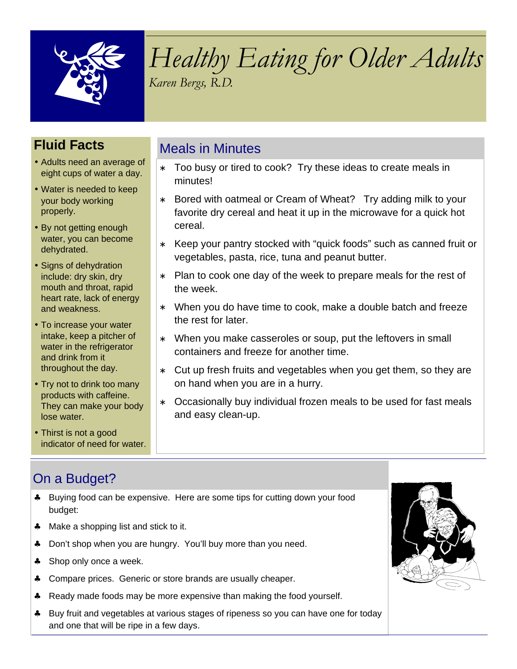

# Healthy Eating for Older Adults Karen Bergs, R.D.

Too busy or tired to cook? Try these ideas to create meals in

∗ Bored with oatmeal or Cream of Wheat? Try adding milk to your favorite dry cereal and heat it up in the microwave for a quick hot

∗ Keep your pantry stocked with "quick foods" such as canned fruit or

∗ Plan to cook one day of the week to prepare meals for the rest of

∗ When you do have time to cook, make a double batch and freeze

∗ Cut up fresh fruits and vegetables when you get them, so they are

Occasionally buy individual frozen meals to be used for fast meals

∗ When you make casseroles or soup, put the leftovers in small

vegetables, pasta, rice, tuna and peanut butter.

containers and freeze for another time.

on hand when you are in a hurry.

## **Fluid Facts**

- Adults need an average of eight cups of water a day.
- Water is needed to keep your body working properly.
- By not getting enough water, you can become dehydrated.
- Signs of dehydration include: dry skin, dry mouth and throat, rapid heart rate, lack of energy and weakness.
- To increase your water intake, keep a pitcher of water in the refrigerator and drink from it throughout the day.
- Try not to drink too many products with caffeine. They can make your body lose water.
- Thirst is not a good indicator of need for water.

# On a Budget?

♣ Buying food can be expensive. Here are some tips for cutting down your food budget:

Meals in Minutes

minutes!

cereal.

the week.

the rest for later.

and easy clean-up.

- ♣ Make a shopping list and stick to it.
- ♣ Don't shop when you are hungry. You'll buy more than you need.
- ♣ Shop only once a week.
- ♣ Compare prices. Generic or store brands are usually cheaper.
- ♣ Ready made foods may be more expensive than making the food yourself.
- ♣ Buy fruit and vegetables at various stages of ripeness so you can have one for today and one that will be ripe in a few days.